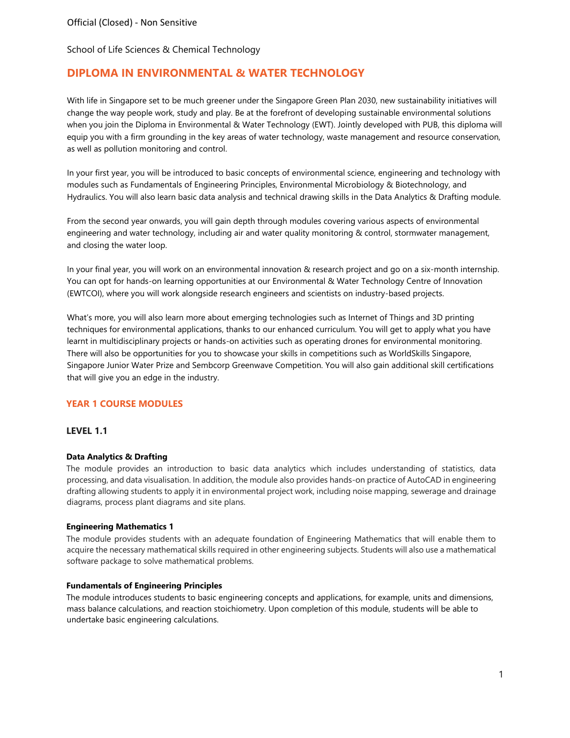# **DIPLOMA IN ENVIRONMENTAL & WATER TECHNOLOGY**

With life in Singapore set to be much greener under the Singapore Green Plan 2030, new sustainability initiatives will change the way people work, study and play. Be at the forefront of developing sustainable environmental solutions when you join the Diploma in Environmental & Water Technology (EWT). Jointly developed with PUB, this diploma will equip you with a firm grounding in the key areas of water technology, waste management and resource conservation, as well as pollution monitoring and control.

In your first year, you will be introduced to basic concepts of environmental science, engineering and technology with modules such as Fundamentals of Engineering Principles, Environmental Microbiology & Biotechnology, and Hydraulics. You will also learn basic data analysis and technical drawing skills in the Data Analytics & Drafting module.

From the second year onwards, you will gain depth through modules covering various aspects of environmental engineering and water technology, including air and water quality monitoring & control, stormwater management, and closing the water loop.

In your final year, you will work on an environmental innovation & research project and go on a six-month internship. You can opt for hands-on learning opportunities at our Environmental & Water Technology Centre of Innovation (EWTCOI), where you will work alongside research engineers and scientists on industry-based projects.

What's more, you will also learn more about emerging technologies such as Internet of Things and 3D printing techniques for environmental applications, thanks to our enhanced curriculum. You will get to apply what you have learnt in multidisciplinary projects or hands-on activities such as operating drones for environmental monitoring. There will also be opportunities for you to showcase your skills in competitions such as WorldSkills Singapore, Singapore Junior Water Prize and Sembcorp Greenwave Competition. You will also gain additional skill certifications that will give you an edge in the industry.

## **YEAR 1 COURSE MODULES**

## **LEVEL 1.1**

### **Data Analytics & Drafting**

The module provides an introduction to basic data analytics which includes understanding of statistics, data processing, and data visualisation. In addition, the module also provides hands-on practice of AutoCAD in engineering drafting allowing students to apply it in environmental project work, including noise mapping, sewerage and drainage diagrams, process plant diagrams and site plans.

### **Engineering Mathematics 1**

The module provides students with an adequate foundation of Engineering Mathematics that will enable them to acquire the necessary mathematical skills required in other engineering subjects. Students will also use a mathematical software package to solve mathematical problems.

### **Fundamentals of Engineering Principles**

The module introduces students to basic engineering concepts and applications, for example, units and dimensions, mass balance calculations, and reaction stoichiometry. Upon completion of this module, students will be able to undertake basic engineering calculations.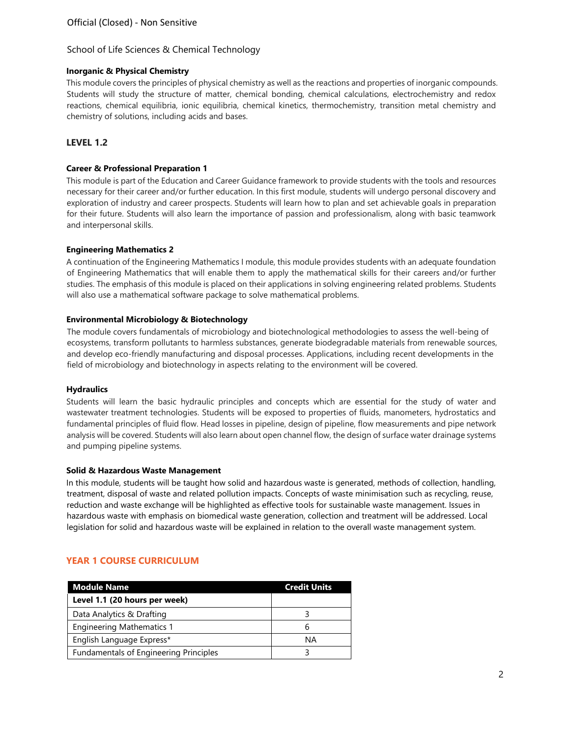## **Inorganic & Physical Chemistry**

This module covers the principles of physical chemistry as well as the reactions and properties of inorganic compounds. Students will study the structure of matter, chemical bonding, chemical calculations, electrochemistry and redox reactions, chemical equilibria, ionic equilibria, chemical kinetics, thermochemistry, transition metal chemistry and chemistry of solutions, including acids and bases.

## **LEVEL 1.2**

### **Career & Professional Preparation 1**

This module is part of the Education and Career Guidance framework to provide students with the tools and resources necessary for their career and/or further education. In this first module, students will undergo personal discovery and exploration of industry and career prospects. Students will learn how to plan and set achievable goals in preparation for their future. Students will also learn the importance of passion and professionalism, along with basic teamwork and interpersonal skills.

### **Engineering Mathematics 2**

A continuation of the Engineering Mathematics I module, this module provides students with an adequate foundation of Engineering Mathematics that will enable them to apply the mathematical skills for their careers and/or further studies. The emphasis of this module is placed on their applications in solving engineering related problems. Students will also use a mathematical software package to solve mathematical problems.

### **Environmental Microbiology & Biotechnology**

The module covers fundamentals of microbiology and biotechnological methodologies to assess the well-being of ecosystems, transform pollutants to harmless substances, generate biodegradable materials from renewable sources, and develop eco-friendly manufacturing and disposal processes. Applications, including recent developments in the field of microbiology and biotechnology in aspects relating to the environment will be covered.

### **Hydraulics**

Students will learn the basic hydraulic principles and concepts which are essential for the study of water and wastewater treatment technologies. Students will be exposed to properties of fluids, manometers, hydrostatics and fundamental principles of fluid flow. Head losses in pipeline, design of pipeline, flow measurements and pipe network analysis will be covered. Students will also learn about open channel flow, the design of surface water drainage systems and pumping pipeline systems.

### **Solid & Hazardous Waste Management**

In this module, students will be taught how solid and hazardous waste is generated, methods of collection, handling, treatment, disposal of waste and related pollution impacts. Concepts of waste minimisation such as recycling, reuse, reduction and waste exchange will be highlighted as effective tools for sustainable waste management. Issues in hazardous waste with emphasis on biomedical waste generation, collection and treatment will be addressed. Local legislation for solid and hazardous waste will be explained in relation to the overall waste management system.

## **YEAR 1 COURSE CURRICULUM**

| <b>Module Name</b>                     | <b>Credit Units</b> |
|----------------------------------------|---------------------|
| Level 1.1 (20 hours per week)          |                     |
| Data Analytics & Drafting              |                     |
| <b>Engineering Mathematics 1</b>       | h                   |
| English Language Express*              | ΝA                  |
| Fundamentals of Engineering Principles |                     |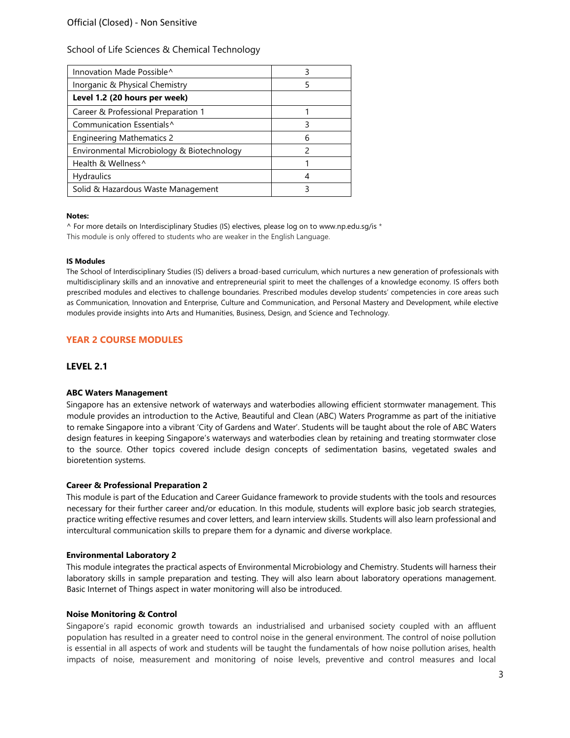| ੨             |
|---------------|
| 5             |
|               |
|               |
| ς             |
| 6             |
| $\mathcal{P}$ |
|               |
|               |
|               |
|               |

#### **Notes:**

^ For more details on Interdisciplinary Studies (IS) electives, please log on [to www.np.edu.sg/is](http://www.np.edu.sg/is) \* This module is only offered to students who are weaker in the English Language.

#### **IS Modules**

The School of Interdisciplinary Studies (IS) delivers a broad-based curriculum, which nurtures a new generation of professionals with multidisciplinary skills and an innovative and entrepreneurial spirit to meet the challenges of a knowledge economy. IS offers both prescribed modules and electives to challenge boundaries. Prescribed modules develop students' competencies in core areas such as Communication, Innovation and Enterprise, Culture and Communication, and Personal Mastery and Development, while elective modules provide insights into Arts and Humanities, Business, Design, and Science and Technology.

## **YEAR 2 COURSE MODULES**

## **LEVEL 2.1**

### **ABC Waters Management**

Singapore has an extensive network of waterways and waterbodies allowing efficient stormwater management. This module provides an introduction to the Active, Beautiful and Clean (ABC) Waters Programme as part of the initiative to remake Singapore into a vibrant 'City of Gardens and Water'. Students will be taught about the role of ABC Waters design features in keeping Singapore's waterways and waterbodies clean by retaining and treating stormwater close to the source. Other topics covered include design concepts of sedimentation basins, vegetated swales and bioretention systems.

### **Career & Professional Preparation 2**

This module is part of the Education and Career Guidance framework to provide students with the tools and resources necessary for their further career and/or education. In this module, students will explore basic job search strategies, practice writing effective resumes and cover letters, and learn interview skills. Students will also learn professional and intercultural communication skills to prepare them for a dynamic and diverse workplace.

### **Environmental Laboratory 2**

This module integrates the practical aspects of Environmental Microbiology and Chemistry. Students will harness their laboratory skills in sample preparation and testing. They will also learn about laboratory operations management. Basic Internet of Things aspect in water monitoring will also be introduced.

### **Noise Monitoring & Control**

Singapore's rapid economic growth towards an industrialised and urbanised society coupled with an affluent population has resulted in a greater need to control noise in the general environment. The control of noise pollution is essential in all aspects of work and students will be taught the fundamentals of how noise pollution arises, health impacts of noise, measurement and monitoring of noise levels, preventive and control measures and local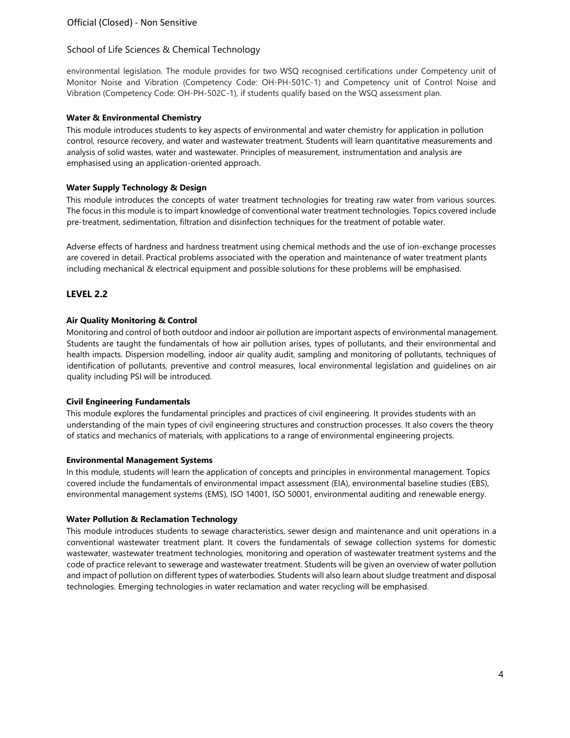environmental legislation. The module provides for two WSQ recognised certifications under Competency unit of Monitor Noise and Vibration (Competency Code: OH-PH-501C-1) and Competency unit of Control Noise and Vibration (Competency Code: OH-PH-502C-1), if students qualify based on the WSQ assessment plan.

## **Water & Environmental Chemistry**

This module introduces students to key aspects of environmental and water chemistry for application in pollution control, resource recovery, and water and wastewater treatment. Students will learn quantitative measurements and analysis of solid wastes, water and wastewater. Principles of measurement, instrumentation and analysis are emphasised using an application-oriented approach.

## **Water Supply Technology & Design**

This module introduces the concepts of water treatment technologies for treating raw water from various sources. The focus in this module is to impart knowledge of conventional water treatment technologies. Topics covered include pre-treatment, sedimentation, filtration and disinfection techniques for the treatment of potable water.

Adverse effects of hardness and hardness treatment using chemical methods and the use of ion-exchange processes are covered in detail. Practical problems associated with the operation and maintenance of water treatment plants including mechanical & electrical equipment and possible solutions for these problems will be emphasised.

## **LEVEL 2.2**

## **Air Quality Monitoring & Control**

Monitoring and control of both outdoor and indoor air pollution are important aspects of environmental management. Students are taught the fundamentals of how air pollution arises, types of pollutants, and their environmental and health impacts. Dispersion modelling, indoor air quality audit, sampling and monitoring of pollutants, techniques of identification of pollutants, preventive and control measures, local environmental legislation and guidelines on air quality including PSI will be introduced.

### **Civil Engineering Fundamentals**

This module explores the fundamental principles and practices of civil engineering. It provides students with an understanding of the main types of civil engineering structures and construction processes. It also covers the theory of statics and mechanics of materials, with applications to a range of environmental engineering projects.

### **Environmental Management Systems**

In this module, students will learn the application of concepts and principles in environmental management. Topics covered include the fundamentals of environmental impact assessment (EIA), environmental baseline studies (EBS), environmental management systems (EMS), ISO 14001, ISO 50001, environmental auditing and renewable energy.

### **Water Pollution & Reclamation Technology**

This module introduces students to sewage characteristics, sewer design and maintenance and unit operations in a conventional wastewater treatment plant. It covers the fundamentals of sewage collection systems for domestic wastewater, wastewater treatment technologies, monitoring and operation of wastewater treatment systems and the code of practice relevant to sewerage and wastewater treatment. Students will be given an overview of water pollution and impact of pollution on different types of waterbodies. Students will also learn about sludge treatment and disposal technologies. Emerging technologies in water reclamation and water recycling will be emphasised.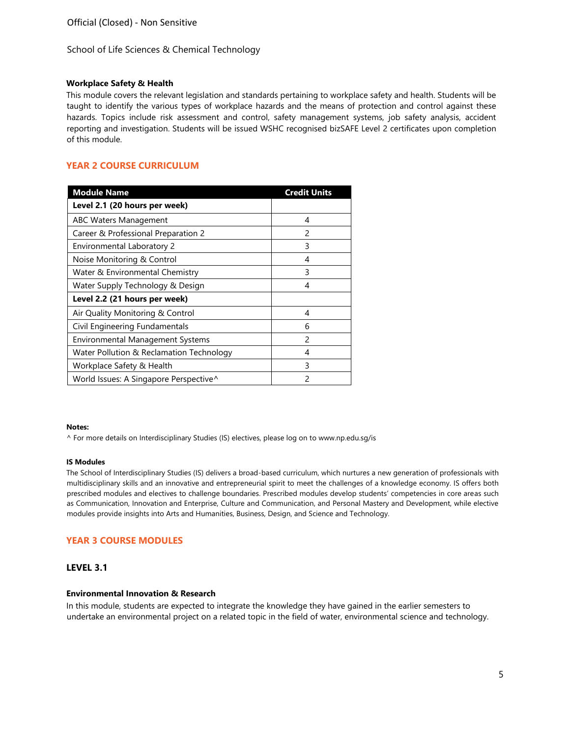### **Workplace Safety & Health**

This module covers the relevant legislation and standards pertaining to workplace safety and health. Students will be taught to identify the various types of workplace hazards and the means of protection and control against these hazards. Topics include risk assessment and control, safety management systems, job safety analysis, accident reporting and investigation. Students will be issued WSHC recognised bizSAFE Level 2 certificates upon completion of this module.

## **YEAR 2 COURSE CURRICULUM**

| <b>Module Name</b>                       | <b>Credit Units</b> |
|------------------------------------------|---------------------|
| Level 2.1 (20 hours per week)            |                     |
| <b>ABC Waters Management</b>             | 4                   |
| Career & Professional Preparation 2      | $\mathcal{P}$       |
| Environmental Laboratory 2               | 3                   |
| Noise Monitoring & Control               | 4                   |
| Water & Environmental Chemistry          | 3                   |
| Water Supply Technology & Design         | 4                   |
| Level 2.2 (21 hours per week)            |                     |
| Air Quality Monitoring & Control         | 4                   |
| Civil Engineering Fundamentals           | 6                   |
| <b>Environmental Management Systems</b>  | $\mathcal{P}$       |
| Water Pollution & Reclamation Technology | 4                   |
| Workplace Safety & Health                | 3                   |
| World Issues: A Singapore Perspective^   | 2                   |

#### **Notes:**

^ For more details on Interdisciplinary Studies (IS) electives, please log on [to www.np.edu.sg/is](http://www.np.edu.sg/is)

#### **IS Modules**

The School of Interdisciplinary Studies (IS) delivers a broad-based curriculum, which nurtures a new generation of professionals with multidisciplinary skills and an innovative and entrepreneurial spirit to meet the challenges of a knowledge economy. IS offers both prescribed modules and electives to challenge boundaries. Prescribed modules develop students' competencies in core areas such as Communication, Innovation and Enterprise, Culture and Communication, and Personal Mastery and Development, while elective modules provide insights into Arts and Humanities, Business, Design, and Science and Technology.

## **YEAR 3 COURSE MODULES**

### **LEVEL 3.1**

### **Environmental Innovation & Research**

In this module, students are expected to integrate the knowledge they have gained in the earlier semesters to undertake an environmental project on a related topic in the field of water, environmental science and technology.